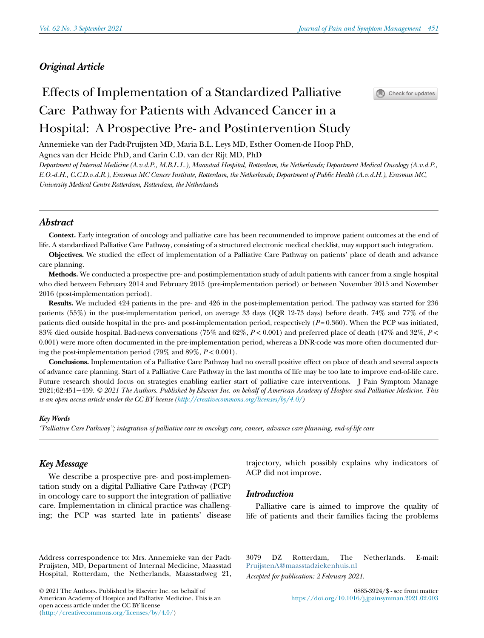# Original Article

# Effects of Implementation of a Standardized Palliative Care Pathway for Patients with Advanced Cancer in a Hospital: A Prospective Pre- and Postintervention Study



Annemieke van der Padt-Pruijsten MD, Maria B.L. Leys MD, Esther Oomen-de Hoop PhD, Agnes van der Heide PhD, and Carin C.D. van der Rijt MD, PhD

Department of Internal Medicine (A.v.d.P., M.B.L.L.), Maasstad Hospital, Rotterdam, the Netherlands; Department Medical Oncology (A.v.d.P., E.O.-d.H., C.C.D.v.d.R.), Erasmus MC Cancer Institute, Rotterdam, the Netherlands; Department of Public Health (A.v.d.H.), Erasmus MC, University Medical Centre Rotterdam, Rotterdam, the Netherlands

# Abstract

Context. Early integration of oncology and palliative care has been recommended to improve patient outcomes at the end of life. A standardized Palliative Care Pathway, consisting of a structured electronic medical checklist, may support such integration.

Objectives. We studied the effect of implementation of a Palliative Care Pathway on patients' place of death and advance care planning.

Methods. We conducted a prospective pre- and postimplementation study of adult patients with cancer from a single hospital who died between February 2014 and February 2015 (pre-implementation period) or between November 2015 and November 2016 (post-implementation period).

Results. We included 424 patients in the pre- and 426 in the post-implementation period. The pathway was started for 236 patients (55%) in the post-implementation period, on average 33 days (IQR 12-73 days) before death. 74% and 77% of the patients died outside hospital in the pre- and post-implementation period, respectively  $(P=0.360)$ . When the PCP was initiated, 83% died outside hospital. Bad-news conversations (75% and 62%,  $P < 0.001$ ) and preferred place of death (47% and 32%,  $P <$ 0.001) were more often documented in the pre-implementation period, whereas a DNR-code was more often documented during the post-implementation period (79% and  $89\%, P < 0.001$ ).

Conclusions. Implementation of a Palliative Care Pathway had no overall positive effect on place of death and several aspects of advance care planning. Start of a Palliative Care Pathway in the last months of life may be too late to improve end-of-life care. Future research should focus on strategies enabling earlier start of palliative care interventions. J Pain Symptom Manage 2021;62:451−459. © 2021 The Authors. Published by Elsevier Inc. on behalf of American Academy of Hospice and Palliative Medicine. This is an open access article under the CC BY license [\(http://creativecommons.org/licenses/by/4.0/\)](http://creativecommons.org/licenses/by/4.0/)

#### Key Words

"Palliative Care Pathway"; integration of palliative care in oncology care, cancer, advance care planning, end-of-life care

# Key Message

We describe a prospective pre- and post-implementation study on a digital Palliative Care Pathway (PCP) in oncology care to support the integration of palliative care. Implementation in clinical practice was challenging; the PCP was started late in patients' disease

trajectory, which possibly explains why indicators of ACP did not improve.

#### Introduction

Palliative care is aimed to improve the quality of life of patients and their families facing the problems

 2021 The Authors. Published by Elsevier Inc. on behalf of American Academy of Hospice and Palliative Medicine. This is an open access article under the CC BY license [\(http://creativecommons.org/licenses/by/4.0/\)](http://creativecommons.org/licenses/by/4.0/)

3079 DZ Rotterdam, The Netherlands. E-mail: [PruijstenA@maasstadziekenhuis.nl](mailto:PruijstenA@maasstadziekenhuis.nl)

Accepted for publication: 2 February 2021.

Address correspondence to: Mrs. Annemieke van der Padt-Pruijsten, MD, Department of Internal Medicine, Maasstad Hospital, Rotterdam, the Netherlands, Maasstadweg 21,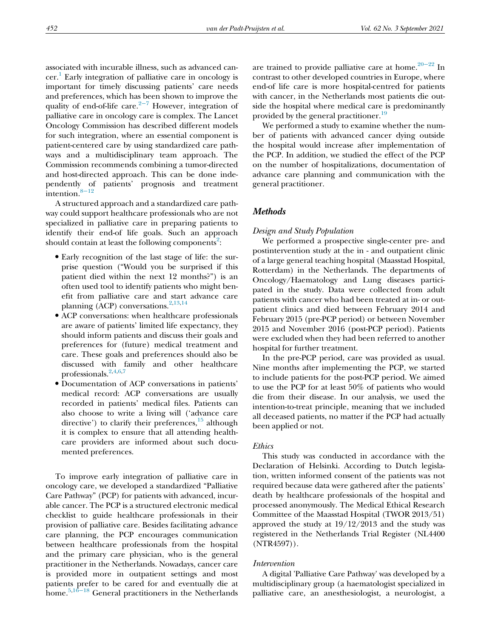associated with incurable illness, such as advanced cancer. [1](#page-7-0) Early integration of palliative care in oncology is important for timely discussing patients' care needs and preferences, which has been shown to improve the quality of end-of-life care. $2-7$  However, integration of palliative care in oncology care is complex. The Lancet Oncology Commission has described different models for such integration, where an essential component is patient-centered care by using standardized care pathways and a multidisciplinary team approach. The Commission recommends combining a tumor-directed and host-directed approach. This can be done independently of patients' prognosis and treatment intention.8−[12](#page-7-2)

A structured approach and a standardized care pathway could support healthcare professionals who are not specialized in palliative care in preparing patients to identify their end-of life goals. Such an approach should contain at least the following components<sup>[2](#page-7-1)</sup>:

- Early recognition of the last stage of life: the surprise question ("Would you be surprised if this patient died within the next 12 months?") is an often used tool to identify patients who might benefit from palliative care and start advance care planning (ACP) conversations.<sup>[2](#page-7-1),[13,](#page-8-0)[14](#page-8-1)</sup>
- ACP conversations: when healthcare professionals are aware of patients' limited life expectancy, they should inform patients and discuss their goals and preferences for (future) medical treatment and care. These goals and preferences should also be discussed with family and other healthcare professionals.<sup>[2](#page-7-1)[,4,](#page-7-3)[6,](#page-7-4)[7](#page-7-5)</sup>
- Documentation of ACP conversations in patients' medical record: ACP conversations are usually recorded in patients' medical files. Patients can also choose to write a living will ('advance care directive') to clarify their preferences,  $15$  although it is complex to ensure that all attending healthcare providers are informed about such documented preferences.

To improve early integration of palliative care in oncology care, we developed a standardized "Palliative Care Pathway" (PCP) for patients with advanced, incurable cancer. The PCP is a structured electronic medical checklist to guide healthcare professionals in their provision of palliative care. Besides facilitating advance care planning, the PCP encourages communication between healthcare professionals from the hospital and the primary care physician, who is the general practitioner in the Netherlands. Nowadays, cancer care is provided more in outpatient settings and most patient[s pref](#page-8-3)er to be cared for and eventually die at home[.5](#page-7-6),16<sup>−</sup><sup>18</sup> General practitioners in the Netherlands are trained to provide palliative care at home[.20](#page-8-4)<sup>−</sup><sup>22</sup> In contrast to other developed countries in Europe, where end-of life care is more hospital-centred for patients with cancer, in the Netherlands most patients die outside the hospital where medical care is predominantly provided by the general practitioner.<sup>[19](#page-8-5)</sup>

We performed a study to examine whether the number of patients with advanced cancer dying outside the hospital would increase after implementation of the PCP. In addition, we studied the effect of the PCP on the number of hospitalizations, documentation of advance care planning and communication with the general practitioner.

# **Methods**

#### Design and Study Population

We performed a prospective single-center pre- and postintervention study at the in - and outpatient clinic of a large general teaching hospital (Maasstad Hospital, Rotterdam) in the Netherlands. The departments of Oncology/Haematology and Lung diseases participated in the study. Data were collected from adult patients with cancer who had been treated at in- or outpatient clinics and died between February 2014 and February 2015 (pre-PCP period) or between November 2015 and November 2016 (post-PCP period). Patients were excluded when they had been referred to another hospital for further treatment.

In the pre-PCP period, care was provided as usual. Nine months after implementing the PCP, we started to include patients for the post-PCP period. We aimed to use the PCP for at least 50% of patients who would die from their disease. In our analysis, we used the intention-to-treat principle, meaning that we included all deceased patients, no matter if the PCP had actually been applied or not.

#### Ethics

This study was conducted in accordance with the Declaration of Helsinki. According to Dutch legislation, written informed consent of the patients was not required because data were gathered after the patients' death by healthcare professionals of the hospital and processed anonymously. The Medical Ethical Research Committee of the Maasstad Hospital (TWOR 2013/51) approved the study at 19/12/2013 and the study was registered in the Netherlands Trial Register (NL4400 (NTR4597)).

#### Intervention

A digital 'Palliative Care Pathway' was developed by a multidisciplinary group (a haematologist specialized in palliative care, an anesthesiologist, a neurologist, a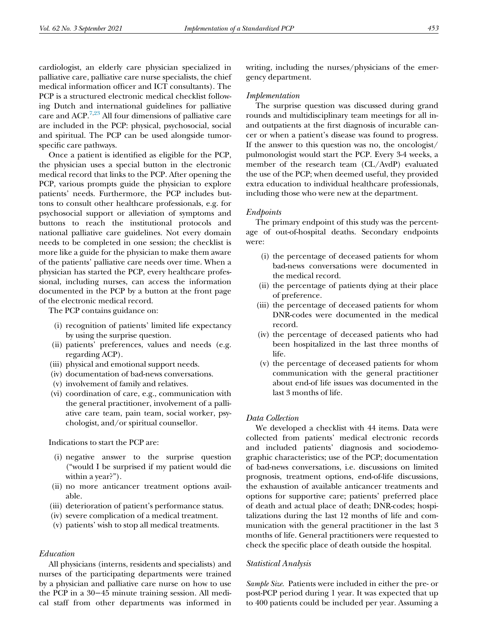cardiologist, an elderly care physician specialized in palliative care, palliative care nurse specialists, the chief medical information officer and ICT consultants). The PCP is a structured electronic medical checklist following Dutch and international guidelines for palliative care and ACP.<sup>[7](#page-7-5)[,23](#page-8-6)</sup> All four dimensions of palliative care are included in the PCP: physical, psychosocial, social and spiritual. The PCP can be used alongside tumorspecific care pathways.

Once a patient is identified as eligible for the PCP, the physician uses a special button in the electronic medical record that links to the PCP. After opening the PCP, various prompts guide the physician to explore patients' needs. Furthermore, the PCP includes buttons to consult other healthcare professionals, e.g. for psychosocial support or alleviation of symptoms and buttons to reach the institutional protocols and national palliative care guidelines. Not every domain needs to be completed in one session; the checklist is more like a guide for the physician to make them aware of the patients' palliative care needs over time. When a physician has started the PCP, every healthcare professional, including nurses, can access the information documented in the PCP by a button at the front page of the electronic medical record.

The PCP contains guidance on:

- (i) recognition of patients' limited life expectancy by using the surprise question.
- (ii) patients' preferences, values and needs (e.g. regarding ACP).
- (iii) physical and emotional support needs.
- (iv) documentation of bad-news conversations.
- (v) involvement of family and relatives.
- (vi) coordination of care, e.g., communication with the general practitioner, involvement of a palliative care team, pain team, social worker, psychologist, and/or spiritual counsellor.

Indications to start the PCP are:

- (i) negative answer to the surprise question ("would I be surprised if my patient would die within a year?").
- (ii) no more anticancer treatment options available.
- (iii) deterioration of patient's performance status.
- (iv) severe complication of a medical treatment.
- (v) patients' wish to stop all medical treatments.

# Education

All physicians (interns, residents and specialists) and nurses of the participating departments were trained by a physician and palliative care nurse on how to use the PCP in a 30−45 minute training session. All medical staff from other departments was informed in writing, including the nurses/physicians of the emergency department.

#### Implementation

The surprise question was discussed during grand rounds and multidisciplinary team meetings for all inand outpatients at the first diagnosis of incurable cancer or when a patient's disease was found to progress. If the answer to this question was no, the oncologist/ pulmonologist would start the PCP. Every 3-4 weeks, a member of the research team (CL/AvdP) evaluated the use of the PCP; when deemed useful, they provided extra education to individual healthcare professionals, including those who were new at the department.

### Endpoints

The primary endpoint of this study was the percentage of out-of-hospital deaths. Secondary endpoints were:

- (i) the percentage of deceased patients for whom bad-news conversations were documented in the medical record.
- (ii) the percentage of patients dying at their place of preference.
- (iii) the percentage of deceased patients for whom DNR-codes were documented in the medical record.
- (iv) the percentage of deceased patients who had been hospitalized in the last three months of life.
- (v) the percentage of deceased patients for whom communication with the general practitioner about end-of life issues was documented in the last 3 months of life.

#### Data Collection

We developed a checklist with 44 items. Data were collected from patients' medical electronic records and included patients' diagnosis and sociodemographic characteristics; use of the PCP; documentation of bad-news conversations, i.e. discussions on limited prognosis, treatment options, end-of-life discussions, the exhaustion of available anticancer treatments and options for supportive care; patients' preferred place of death and actual place of death; DNR-codes; hospitalizations during the last 12 months of life and communication with the general practitioner in the last 3 months of life. General practitioners were requested to check the specific place of death outside the hospital.

#### Statistical Analysis

Sample Size. Patients were included in either the pre- or post-PCP period during 1 year. It was expected that up to 400 patients could be included per year. Assuming a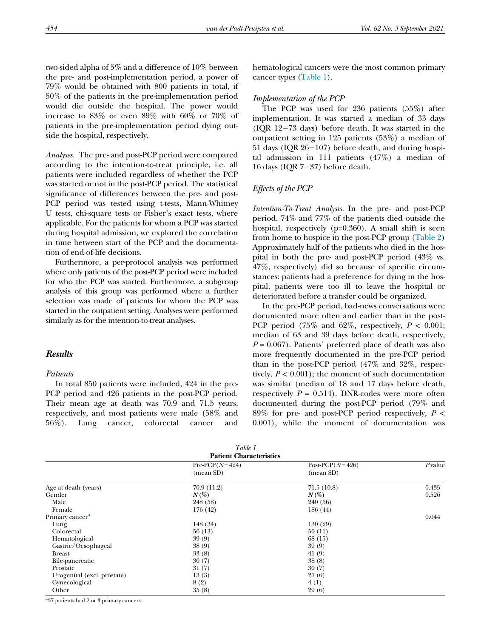two-sided alpha of 5% and a difference of 10% between the pre- and post-implementation period, a power of 79% would be obtained with 800 patients in total, if 50% of the patients in the pre-implementation period would die outside the hospital. The power would increase to 83% or even 89% with 60% or 70% of patients in the pre-implementation period dying outside the hospital, respectively.

Analyses. The pre- and post-PCP period were compared according to the intention-to-treat principle, i.e. all patients were included regardless of whether the PCP was started or not in the post-PCP period. The statistical significance of differences between the pre- and post-PCP period was tested using t-tests, Mann-Whitney U tests, chi-square tests or Fisher's exact tests, where applicable. For the patients for whom a PCP was started during hospital admission, we explored the correlation in time between start of the PCP and the documentation of end-of-life decisions.

Furthermore, a per-protocol analysis was performed where only patients of the post-PCP period were included for who the PCP was started. Furthermore, a subgroup analysis of this group was performed where a further selection was made of patients for whom the PCP was started in the outpatient setting. Analyses were performed similarly as for the intention-to-treat analyses.

# **Results**

#### Patients

In total 850 patients were included, 424 in the pre-PCP period and 426 patients in the post-PCP period. Their mean age at death was 70.9 and 71.5 years, respectively, and most patients were male (58% and 56%). Lung cancer, colorectal cancer and hematological cancers were the most common primary cancer types [\(Table 1](#page-3-0)).

#### Implementation of the PCP

The PCP was used for 236 patients (55%) after implementation. It was started a median of 33 days (IQR 12−73 days) before death. It was started in the outpatient setting in 125 patients (53%) a median of 51 days (IQR 26−107) before death, and during hospital admission in 111 patients (47%) a median of 16 days (IQR 7−37) before death.

#### Effects of the PCP

Intention-To-Treat Analysis. In the pre- and post-PCP period, 74% and 77% of the patients died outside the hospital, respectively (p=0.360). A small shift is seen from home to hospice in the post-PCP group ([Table 2\)](#page-4-0) Approximately half of the patients who died in the hospital in both the pre- and post-PCP period (43% vs. 47%, respectively) did so because of specific circumstances: patients had a preference for dying in the hospital, patients were too ill to leave the hospital or deteriorated before a transfer could be organized.

In the pre-PCP period, bad-news conversations were documented more often and earlier than in the post-PCP period (75% and 62%, respectively,  $P < 0.001$ ; median of 63 and 39 days before death, respectively,  $P = 0.067$ . Patients' preferred place of death was also more frequently documented in the pre-PCP period than in the post-PCP period (47% and 32%, respectively,  $P < 0.001$ ); the moment of such documentation was similar (median of 18 and 17 days before death, respectively  $P = 0.514$ ). DNR-codes were more often documented during the post-PCP period (79% and 89% for pre- and post-PCP period respectively,  $P \leq$ 0.001), while the moment of documentation was

| Table 1 |  |
|---------|--|

<span id="page-3-0"></span>

| <b>Patient Characteristics</b> |                               |                                  |        |  |
|--------------------------------|-------------------------------|----------------------------------|--------|--|
|                                | $Pre-PCP(N=424)$<br>(mean SD) | Post-PCP( $N=426$ )<br>(mean SD) | Pvalue |  |
| Age at death (years)           | 70.9(11.2)                    | 71.5(10.8)                       | 0.435  |  |
| Gender                         | $N(\%)$                       | $N(\%)$                          | 0.526  |  |
| Male                           | 248 (58)                      | 240 (56)                         |        |  |
| Female                         | 176 (42)                      | 186 (44)                         |        |  |
| Primary cancer <sup>a</sup>    |                               |                                  | 0.044  |  |
| Lung                           | 148 (34)                      | 130(29)                          |        |  |
| Colorectal                     | 56(13)                        | 50(11)                           |        |  |
| Hematological                  | 39(9)                         | 68 (15)                          |        |  |
| Gastric/Oesophageal            | 38(9)                         | 39(9)                            |        |  |
| <b>Breast</b>                  | 33(8)                         | 41(9)                            |        |  |
| Bile-pancreatic                | 30(7)                         | 38(8)                            |        |  |
| Prostate                       | 31(7)                         | 30(7)                            |        |  |
| Urogenital (excl. prostate)    | 13(3)                         | 27(6)                            |        |  |
| Gynecological                  | 8(2)                          | 4(1)                             |        |  |
| Other                          | 35(8)                         | 29(6)                            |        |  |

<span id="page-3-1"></span><sup>a</sup>37 patients had 2 or 3 primary cancers.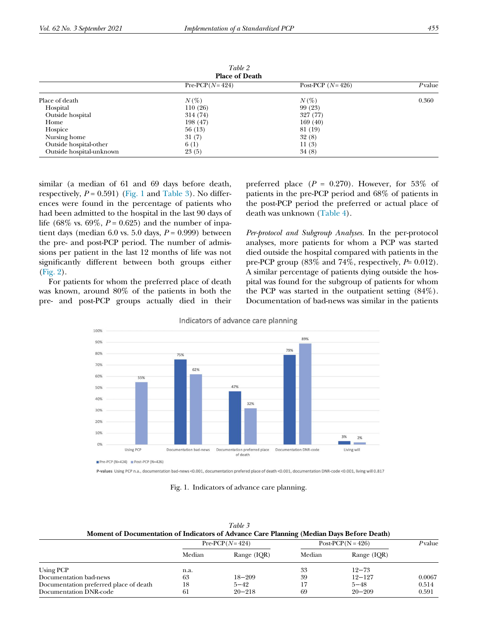<span id="page-4-0"></span>

| Table 2<br><b>Place of Death</b> |                  |                    |        |  |
|----------------------------------|------------------|--------------------|--------|--|
|                                  | $Pre-PCP(N=424)$ | Post-PCP $(N=426)$ | Pvalue |  |
| Place of death                   | $N(\%)$          | $N(\%)$            | 0.360  |  |
| Hospital                         | 110(26)          | 99 (23)            |        |  |
| Outside hospital                 | 314 (74)         | 327 (77)           |        |  |
| Home                             | 198 (47)         | 169 (40)           |        |  |
| Hospice                          | 56 (13)          | 81 (19)            |        |  |
| Nursing home                     | 31(7)            | 32(8)              |        |  |
| Outside hospital-other           | 6(1)             | 11(3)              |        |  |
| Outside hospital-unknown         | 23(5)            | 34(8)              |        |  |

Table 2

similar (a median of 61 and 69 days before death, respectively,  $P = 0.591$ ) ([Fig. 1](#page-4-1) and [Table 3](#page-4-2)). No differences were found in the percentage of patients who had been admitted to the hospital in the last 90 days of life (68% vs. 69%,  $P = 0.625$ ) and the number of inpatient days (median 6.0 vs. 5.0 days,  $P = 0.999$ ) between the pre- and post-PCP period. The number of admissions per patient in the last 12 months of life was not significantly different between both groups either [\(Fig. 2](#page-5-0)).

<span id="page-4-1"></span>For patients for whom the preferred place of death was known, around 80% of the patients in both the pre- and post-PCP groups actually died in their preferred place  $(P = 0.270)$ . However, for 53% of patients in the pre-PCP period and 68% of patients in the post-PCP period the preferred or actual place of death was unknown ([Table 4\)](#page-5-1).

Per-protocol and Subgroup Analyses. In the per-protocol analyses, more patients for whom a PCP was started died outside the hospital compared with patients in the pre-PCP group  $(83\% \text{ and } 74\%, \text{ respectively}, P= 0.012)$ . A similar percentage of patients dying outside the hospital was found for the subgroup of patients for whom the PCP was started in the outpatient setting (84%). Documentation of bad-news was similar in the patients



Indicators of advance care planning

P-values Using PCP n.a., documentation bad-news <0.001, documentation prefered place of death <0.001, documentation DNR-code <0.001, living will 0.817

Fig. 1. Indicators of advance care planning.

| Table 3                                                                                   |
|-------------------------------------------------------------------------------------------|
| Moment of Documentation of Indicators of Advance Care Planning (Median Days Before Death) |

<span id="page-4-2"></span>

|                                        | $Pre-PCP(N=424)$ |             | $Post-PCP(N = 426)$ |             | Pvalue |
|----------------------------------------|------------------|-------------|---------------------|-------------|--------|
|                                        | Median           | Range (IQR) | Median              | Range (IQR) |        |
| Using PCP                              | n.a.             |             | 33                  | $12 - 73$   |        |
| Documentation bad-news                 | 63               | $18 - 209$  | 39                  | $12 - 127$  | 0.0067 |
| Documentation preferred place of death | 18               | $5 - 42$    | 17                  | $5 - 48$    | 0.514  |
| Documentation DNR-code                 | 61               | $20 - 218$  | 69                  | $20 - 209$  | 0.591  |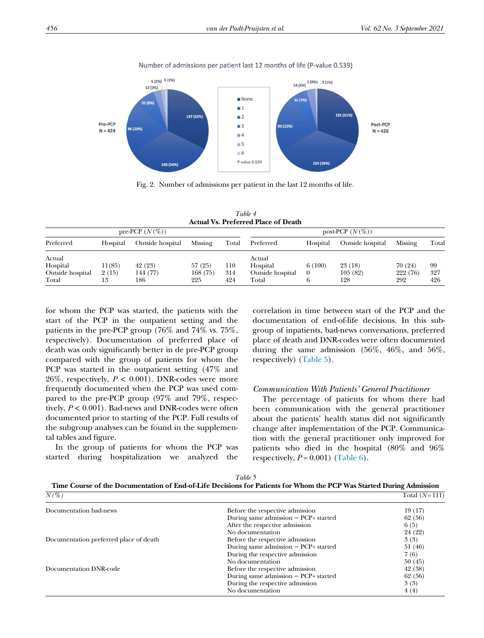<span id="page-5-0"></span>

Number of admissions per patient last 12 months of life (P-value 0.539)

Fig. 2. Number of admissions per patient in the last 12 months of life.

Table 4 Actual Vs. Preferred Place of Death

<span id="page-5-1"></span>

| pre-PCP $(N(\%))$         |             |                  | post-PCP $(N(\%))$ |            |                           |          |                  |                 |            |
|---------------------------|-------------|------------------|--------------------|------------|---------------------------|----------|------------------|-----------------|------------|
| Preferred                 | Hospital    | Outside hospital | Missing            | Total      | Preferred                 | Hospital | Outside hospital | Missing         | Total      |
| Actual<br>Hospital        | 11(85)      | 42 (23)          | 57(25)             | 110        | Actual<br>Hospital        | 6(100)   | 23(18)           | 70(24)          | 99         |
| Outside hospital<br>Total | 2(15)<br>13 | 144 (77)<br>186  | 168 (75)<br>225    | 314<br>424 | Outside hospital<br>Total |          | 105(82)<br>128   | 222 (76)<br>292 | 327<br>426 |

for whom the PCP was started, the patients with the start of the PCP in the outpatient setting and the patients in the pre-PCP group (76% and 74% vs. 75%, respectively). Documentation of preferred place of death was only significantly better in de pre-PCP group compared with the group of patients for whom the PCP was started in the outpatient setting (47% and 26%, respectively,  $P < 0.001$ ). DNR-codes were more frequently documented when the PCP was used compared to the pre-PCP group (97% and 79%, respectively,  $P < 0.001$ ). Bad-news and DNR-codes were often documented prior to starting of the PCP. Full results of the subgroup analyses can be found in the supplemental tables and figure.

In the group of patients for whom the PCP was started during hospitalization we analyzed the

correlation in time between start of the PCP and the documentation of end-of-life decisions. In this subgroup of inpatients, bad-news conversations, preferred place of death and DNR-codes were often documented during the same admission (56%, 46%, and 56%, respectively) ([Table 5\)](#page-5-2).

#### Communication With Patients' General Practitioner

The percentage of patients for whom there had been communication with the general practitioner about the patients' health status did not significantly change after implementation of the PCP. Communication with the general practitioner only improved for patients who died in the hospital (80% and 96% respectively,  $P = 0.001$ ) ([Table 6\)](#page-6-0).

Table 5

<span id="page-5-2"></span>

| Time Course of the Documentation of End-of-Life Decisions for Patients for Whom the PCP Was Started During Admission |                 |
|----------------------------------------------------------------------------------------------------------------------|-----------------|
| $N/Q_0$                                                                                                              | $Total (N-111)$ |

| $N(\%)$                                |                                        | Total $(N=111)$ |
|----------------------------------------|----------------------------------------|-----------------|
| Documentation bad-news                 | Before the respective admission        | 19 (17)         |
|                                        | During same admission $-$ PCP+ started | 62 (56)         |
|                                        | After the respective admission         | 6(5)            |
|                                        | No documentation                       | 24 (22)         |
| Documentation preferred place of death | Before the respective admission        | 3(3)            |
|                                        | During same admission $-$ PCP+ started | 51 (46)         |
|                                        | During the respective admission        | 7(6)            |
|                                        | No documentation                       | 50(45)          |
| Documentation DNR-code                 | Before the respective admission        | 42 (38)         |
|                                        | During same admission $-$ PCP+ started | 62 (56)         |
|                                        | During the respective admission        | 3(3)            |
|                                        | No documentation                       | 4(4)            |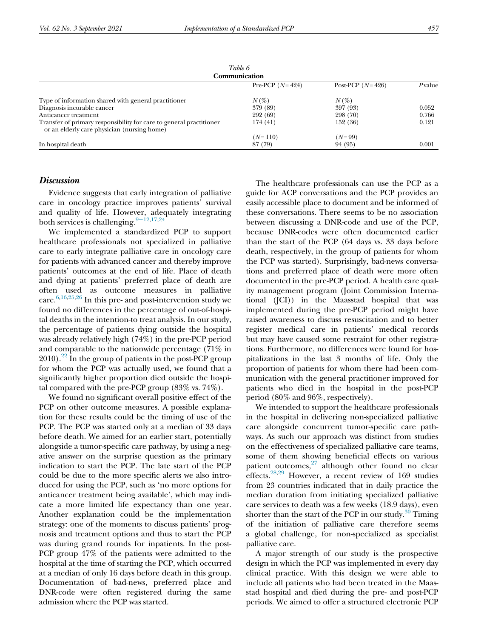<span id="page-6-0"></span>

| 1 <i>WHE</i> 0<br>Communication                                                                                    |                   |                    |        |  |
|--------------------------------------------------------------------------------------------------------------------|-------------------|--------------------|--------|--|
|                                                                                                                    | Pre-PCP $(N=424)$ | Post-PCP $(N=426)$ | Pvalue |  |
| Type of information shared with general practitioner                                                               | $N(\%)$           | $N(\%)$            |        |  |
| Diagnosis incurable cancer                                                                                         | 379 (89)          | 397 (93)           | 0.052  |  |
| Anticancer treatment                                                                                               | 292 (69)          | 298 (70)           | 0.766  |  |
| Transfer of primary responsibility for care to general practitioner<br>or an elderly care physician (nursing home) | 174 (41)          | 152 (36)           | 0.121  |  |
|                                                                                                                    | $(N=110)$         | $(N=99)$           |        |  |
| In hospital death                                                                                                  | 87 (79)           | 94 (95)            | 0.001  |  |

Table 6

# **Discussion**

Evidence suggests that early integration of palliative care in oncology practice improves patients' survival and quality of life. However, adequately integrating both services is challenging.<sup>9−[12](#page-8-7)[,17,](#page-8-8)[24](#page-8-9)</sup>

We implemented a standardized PCP to support healthcare professionals not specialized in palliative care to early integrate palliative care in oncology care for patients with advanced cancer and thereby improve patients' outcomes at the end of life. Place of death and dying at patients' preferred place of death are often used as outcome measures in palliative care.  $\rm ^{6,16,25,26}$  $\rm ^{6,16,25,26}$  $\rm ^{6,16,25,26}$  $\rm ^{6,16,25,26}$  $\rm ^{6,16,25,26}$  $\rm ^{6,16,25,26}$  In this pre- and post-intervention study we found no differences in the percentage of out-of-hospital deaths in the intention-to treat analysis. In our study, the percentage of patients dying outside the hospital was already relatively high (74%) in the pre-PCP period and comparable to the nationwide percentage (71% in  $2010$ .<sup>22</sup> In the group of patients in the post-PCP group for whom the PCP was actually used, we found that a significantly higher proportion died outside the hospital compared with the pre-PCP group (83% vs. 74%).

We found no significant overall positive effect of the PCP on other outcome measures. A possible explanation for these results could be the timing of use of the PCP. The PCP was started only at a median of 33 days before death. We aimed for an earlier start, potentially alongside a tumor-specific care pathway, by using a negative answer on the surprise question as the primary indication to start the PCP. The late start of the PCP could be due to the more specific alerts we also introduced for using the PCP, such as 'no more options for anticancer treatment being available', which may indicate a more limited life expectancy than one year. Another explanation could be the implementation strategy: one of the moments to discuss patients' prognosis and treatment options and thus to start the PCP was during grand rounds for inpatients. In the post-PCP group 47% of the patients were admitted to the hospital at the time of starting the PCP, which occurred at a median of only 16 days before death in this group. Documentation of bad-news, preferred place and DNR-code were often registered during the same admission where the PCP was started.

The healthcare professionals can use the PCP as a guide for ACP conversations and the PCP provides an easily accessible place to document and be informed of these conversations. There seems to be no association between discussing a DNR-code and use of the PCP, because DNR-codes were often documented earlier than the start of the PCP (64 days vs. 33 days before death, respectively, in the group of patients for whom the PCP was started). Surprisingly, bad-news conversations and preferred place of death were more often documented in the pre-PCP period. A health care quality management program (Joint Commission International (JCI)) in the Maasstad hospital that was implemented during the pre-PCP period might have raised awareness to discuss resuscitation and to better register medical care in patients' medical records but may have caused some restraint for other registrations. Furthermore, no differences were found for hospitalizations in the last 3 months of life. Only the proportion of patients for whom there had been communication with the general practitioner improved for patients who died in the hospital in the post-PCP period (80% and 96%, respectively).

We intended to support the healthcare professionals in the hospital in delivering non-specialized palliative care alongside concurrent tumor-specific care pathways. As such our approach was distinct from studies on the effectiveness of specialized palliative care teams, some of them showing beneficial effects on various patient outcomes, $27$  although other found no clear effects.<sup>[28](#page-8-14)[,29](#page-8-15)</sup> However, a recent review of 169 studies from 23 countries indicated that in daily practice the median duration from initiating specialized palliative care services to death was a few weeks (18.9 days), even shorter than the start of the PCP in our study. $30$  Timing of the initiation of palliative care therefore seems a global challenge, for non-specialized as specialist palliative care.

A major strength of our study is the prospective design in which the PCP was implemented in every day clinical practice. With this design we were able to include all patients who had been treated in the Maasstad hospital and died during the pre- and post-PCP periods. We aimed to offer a structured electronic PCP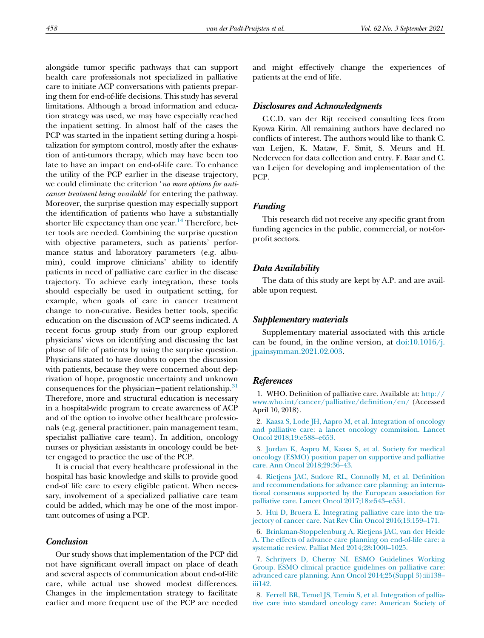alongside tumor specific pathways that can support health care professionals not specialized in palliative care to initiate ACP conversations with patients preparing them for end-of-life decisions. This study has several limitations. Although a broad information and education strategy was used, we may have especially reached the inpatient setting. In almost half of the cases the PCP was started in the inpatient setting during a hospitalization for symptom control, mostly after the exhaustion of anti-tumors therapy, which may have been too late to have an impact on end-of-life care. To enhance the utility of the PCP earlier in the disease trajectory, we could eliminate the criterion 'no more options for anticancer treatment being available' for entering the pathway. Moreover, the surprise question may especially support the identification of patients who have a substantially shorter life expectancy than one year.<sup>14</sup> Therefore, better tools are needed. Combining the surprise question with objective parameters, such as patients' performance status and laboratory parameters (e.g. albumin), could improve clinicians' ability to identify patients in need of palliative care earlier in the disease trajectory. To achieve early integration, these tools should especially be used in outpatient setting, for example, when goals of care in cancer treatment change to non-curative. Besides better tools, specific education on the discussion of ACP seems indicated. A recent focus group study from our group explored physicians' views on identifying and discussing the last phase of life of patients by using the surprise question. Physicians stated to have doubts to open the discussion with patients, because they were concerned about deprivation of hope, prognostic uncertainty and unknown consequences for the physician−patient relationship.[31](#page-8-17) Therefore, more and structural education is necessary in a hospital-wide program to create awareness of ACP and of the option to involve other healthcare professionals (e.g. general practitioner, pain management team, specialist palliative care team). In addition, oncology nurses or physician assistants in oncology could be better engaged to practice the use of the PCP.

<span id="page-7-3"></span><span id="page-7-1"></span><span id="page-7-0"></span>It is crucial that every healthcare professional in the hospital has basic knowledge and skills to provide good end-of life care to every eligible patient. When necessary, involvement of a specialized palliative care team could be added, which may be one of the most important outcomes of using a PCP.

# <span id="page-7-6"></span><span id="page-7-4"></span>Conclusion

<span id="page-7-5"></span><span id="page-7-2"></span>Our study shows that implementation of the PCP did not have significant overall impact on place of death and several aspects of communication about end-of-life care, while actual use showed modest differences. Changes in the implementation strategy to facilitate earlier and more frequent use of the PCP are needed and might effectively change the experiences of patients at the end of life.

#### Disclosures and Acknowledgments

C.C.D. van der Rijt received consulting fees from Kyowa Kirin. All remaining authors have declared no conflicts of interest. The authors would like to thank C. van Leijen, K. Mataw, F. Smit, S. Meurs and H. Nederveen for data collection and entry. F. Baar and C. van Leijen for developing and implementation of the PCP.

# Funding

This research did not receive any specific grant from funding agencies in the public, commercial, or not-forprofit sectors.

#### Data Availability

The data of this study are kept by A.P. and are available upon request.

#### Supplementary materials

Supplementary material associated with this article can be found, in the online version, at  $\frac{d\dot{\omega}}{10.1016}}$ . [jpainsymman.2021.02.003](https://doi.org/10.1016/j.jpainsymman.2021.02.003).

#### **References**

1. WHO. Definition of palliative care. Available at: [http://](http://www.who.int/cancer/palliative/definition/en/) [www.who.int/cancer/palliative/de](http://www.who.int/cancer/palliative/definition/en/)finition/en/ (Accessed April 10, 2018).

2. [Kaasa S, Lode JH, Aapro M, et al. Integration of oncology](http://refhub.elsevier.com/S0885-3924(21)00163-9/sbref0002) [and palliative care: a lancet oncology commission. Lancet](http://refhub.elsevier.com/S0885-3924(21)00163-9/sbref0002) [Oncol 2018;19:e588](http://refhub.elsevier.com/S0885-3924(21)00163-9/sbref0002)–e653.

3. [Jordan K, Aapro M, Kaasa S, et al. Society for medical](http://refhub.elsevier.com/S0885-3924(21)00163-9/sbref0003) [oncology \(ESMO\) position paper on supportive and palliative](http://refhub.elsevier.com/S0885-3924(21)00163-9/sbref0003) [care. Ann Oncol 2018;29:36](http://refhub.elsevier.com/S0885-3924(21)00163-9/sbref0003)–43.

4. [Rietjens JAC, Sudore RL, Connolly M, et al. De](http://refhub.elsevier.com/S0885-3924(21)00163-9/sbref0004)finition [and recommendations for advance care planning: an interna](http://refhub.elsevier.com/S0885-3924(21)00163-9/sbref0004)[tional consensus supported by the European association for](http://refhub.elsevier.com/S0885-3924(21)00163-9/sbref0004) [palliative care. Lancet Oncol 2017;18:e543](http://refhub.elsevier.com/S0885-3924(21)00163-9/sbref0004)–e551.

5. [Hui D, Bruera E. Integrating palliative care into the tra](http://refhub.elsevier.com/S0885-3924(21)00163-9/sbref0005)[jectory of cancer care. Nat Rev Clin Oncol 2016;13:159](http://refhub.elsevier.com/S0885-3924(21)00163-9/sbref0005)–171.

6. [Brinkman-Stoppelenburg A, Rietjens JAC, van der Heide](http://refhub.elsevier.com/S0885-3924(21)00163-9/sbref0006) [A. The effects of advance care planning on end-of-life care: a](http://refhub.elsevier.com/S0885-3924(21)00163-9/sbref0006) [systematic review. Palliat Med 2014;28:1000](http://refhub.elsevier.com/S0885-3924(21)00163-9/sbref0006)–1025.

7. [Schrijvers D, Cherny NI. ESMO Guidelines Working](http://refhub.elsevier.com/S0885-3924(21)00163-9/sbref0007) [Group. ESMO clinical practice guidelines on palliative care:](http://refhub.elsevier.com/S0885-3924(21)00163-9/sbref0007) [advanced care planning. Ann Oncol 2014;25\(Suppl 3\):iii138](http://refhub.elsevier.com/S0885-3924(21)00163-9/sbref0007)– [iii142.](http://refhub.elsevier.com/S0885-3924(21)00163-9/sbref0007)

8. [Ferrell BR, Temel JS, Temin S, et al. Integration of pallia](http://refhub.elsevier.com/S0885-3924(21)00163-9/sbref0008)[tive care into standard oncology care: American Society of](http://refhub.elsevier.com/S0885-3924(21)00163-9/sbref0008)